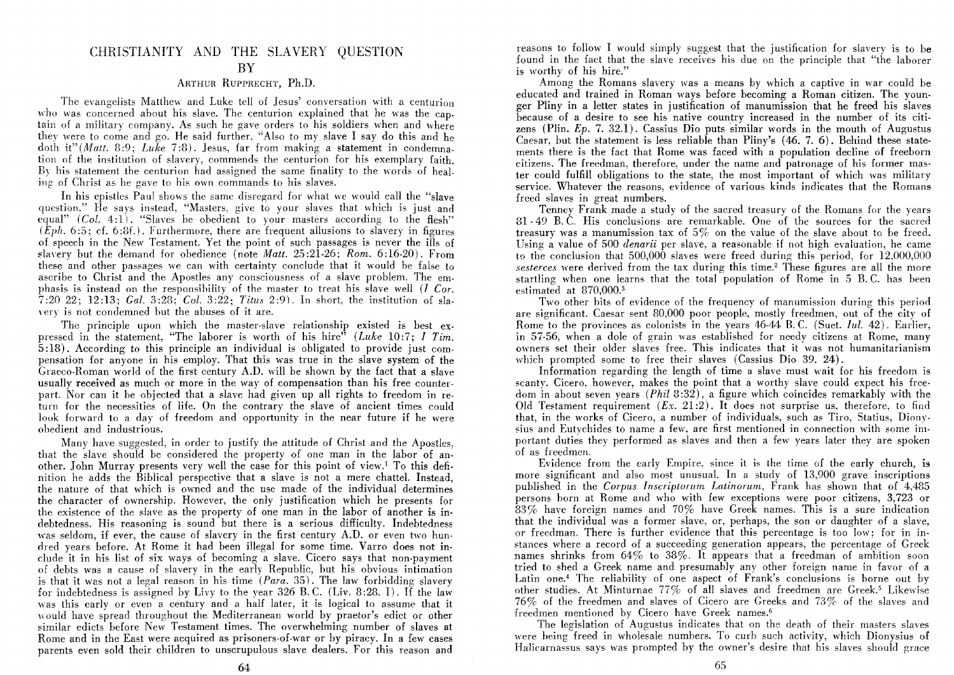# CHRISTIANITY AND THE SLAVERY QUESTION

## BY

### ARTHUR RUPPREcHT, Ph.D.

The evangelists Matthew and Luke tell of Jesus' conversation with a centurion who was concerned about his slave. The centurion explained that he was the captain of a military company. As such he gave orders to his soldiers when and where they were to come and go. He said further, "Also to my slave I say do this and he doth it" *(Matt.* 8:9; *Luke* 7:8). Jesus, far from making a statement in condemna. tion of the institution of slavery, commends the centurion for his exemplary faith. By his statement the centurion had assigned the same finality to the words of healing of Christ as he gave to his own commands to his slaves.

In his epistles Paul shows the same disregard for what we would call the "slave" question." He says instead, "Masters, give to your slaves that which is just and equal" *(Col. 4:1)*. "Slaves be obedient to your masters according to the flesh"  $(\dot{E}ph. 6.5; cf. 6.8f.).$  Furthermore, there are frequent allusions to slavery in figures of speech in the New Testament. Yet the point of such passages is never the ills of slayery but the demand for obedience (note *Matt.* 25 :21-26; *Rom.* 6: 16-20). From these and other passages we can with certainty conclude that it would be false to ascribe to Christ and the Apostles any consciousness of a slave problem. The em· phasis is instead on the responsihility of the master to treat his slave well (l *Cor.*  7:20 22; 12:13; *Gal.* 3:28; *Col.* 3:22; *Titus* 2:9). In short, the institution of slayery is not condemned but the abuses of it are.

The principle upon which the master-slave relationship existed is best ex· pressed in the statement, "The laborer is worth of his hire" *(Luke* 10:7; *I Tim.*  5: 18). According to this principle an individual is obligated to provide just com· pensation for anyone in his employ. That this was true in the slave system of the Graeco-Roman world of the first century A.D. will be shown by the fact that a slave usually received as much or more in the way of compensation than his free counterpart. Nor can it be objected that a slave had given up all rights to freedom in return for the necessities of life. On the contrary the slave of ancient times could look forward to a day of freedom and opportunity in the near future if he were ohedient and industrious.

Many have suggested, in order to justify the attitude of Christ and the Apostles, that the slave should be considered the property of one man in the labor of another. John Murray presents very well the case for this point of view.! To this definition he adds the Biblical perspective that a slave is not a mere chattel. Instead, the nature of that which is owned and the use made of the individual determines the character of ownership. However, the only justification which he presents for the existence of the slave as the property of one man in the labor of another is indebtedness. His reasoning is sound but there is a serious difficulty. Indebtedness was seldom, if ever, the cause of slavery in the first century A.D. or even two hundred years before. At Rome it had been illegal for some time. Varro does not include it in his list of six ways of becoming a slave. Cicero says that non-payment of debts was a cause of slavery in the early Republic, but his obvious intimation is that it was not a legal reason in his time *(Para.* 35). The law forbidding slavery for indebtedness is assigned by Livy to the year 326 B. C. (Liv. 8 :28. I). If the law was this early or even a century and a half later, it is logical to assume that it would have spread throughout the Mediterranean world by praetor's edict or other similar edicts before New Testament times. The overwhelming number of slaves at Rome and in the East were acquired as prisoners-of-war or by piracy. In a few cases parents even sold their children to unscrupulous slave dealers. For this reason and

reasons to follow I would simply suggest that the justification for slavery is to be found in the fact that the slave receives his due on the principle that "the laborer is worthy of his hire."

Among the Romans slavery was a means by which a captive in war could be educated and trained in Roman ways before becoming a Roman citizen. The younger Pliny in a letter states in justification of manumission that he freed his slaves because of a desire to see his native country increased in the number of its citizens (Plin.  $Ep. 7. 32.1$ ). Cassius Dio puts similar words in the mouth of Augustus Caesar, but the statement is less reliable than Pliny's (46. 7. 6). Behind these statements there is the fact that Rome was faced with a population decline of freeborn citizens. The freedman, therefore, under the name and patronage of his former master could fulfiII obligations to the state, the most important of which was military service. Whatever the reasons. evidence of various kinds indicates that the Romans freed slaves in great numbers.

Tenney Frank made a study of the sacred treasury of the Romans for the years 81 - 49 B. C. His conclusions are remarkable. One of the sources for the sacred treasury was a manumission tax of 5% on the value of the slave about to be freed. Using a value of 500 *denarii* per slave, a reasonable if not high evaluation, he came to the conclusion that 500,000 slaves were freed during this period, for 12,000,000 *sesterces* were derived from the tax during this time.<sup>2</sup> These figures are all the more startling when one learns that the total population of Rome in 5 B. C. has been estimated at 870,000.<sup>3</sup>

Two other bits of evidence of the frequency of manumission during this period are significant. Caesar sent 80,000 poor people, mostly freedmen, out of the city of Rome to the provinces as colonists in the years 46-44 B. C. (Suet. Inl. 42). Earlier, in 57-56, when a dole of grain was established for needy citizens at Rome, many owners set their older slaves free. This indicates that it was not humanitarianism which prompted some to free their slaves (Cassius Dio 39. 24).

Information regarding the length of time a slave must wait for his freedom is scanty. Cicero, however, makes the point that a worthy slave could expect his freedom in about seven years  $(Phi 3:32)$ , a figure which coincides remarkably with the Old Testament requirement  $(Ex. 21:2)$ . It does not surprise us, therefore, to find that, in the works of Cicero, a number of individuals, such as Tiro, Statius, Dionysius and Eutvchides to name a few, are first mentioned in connection with some important duties they performed as slaves and then a few years later they are spoken of as freedmen.

Evidence from the early Empire, since it is the time of the early church, is more significant and also most unusual. In a study of 13,900 grave inscriptions published in the *Corpus Inscriptorurn Latinorurn,* Frank has shown that of 4,485 persons born at Rome and who with few exceptions were poor citizens, 3,723 or 83% have foreign names and 70% have Greek names. This is a sure indication that the individual was a former slave, or, perhaps, the son or daughter of a slave, or freedman. There is further evidence that this percentage is too low; for in instances where a record of a succeeding generation appears, the percentage of Greek names shrinks from 64% to 38%. It appears that a freedman of ambition soon tried to shed a Greek name and presumably any other foreign name in favor of a Latin one.<sup>4</sup> The reliability of one aspect of Frank's conclusions is borne out by other studies. At Minturnae 77% of all slaves and freedmen are Greek.<sup>5</sup> Likewise 76% of the freedmen and slaves of Cicero are Greeks and 73% of the slaves and freedmen mentioned by Cicero have Greek names.<sup>6</sup>

The legislation of Augustus indicates that on the death of their masters slaves were being freed in wholesale numbers. To curb such activity, which Dionysius of Halicarnassus says was prompted by the owner's desire that his slaves should grace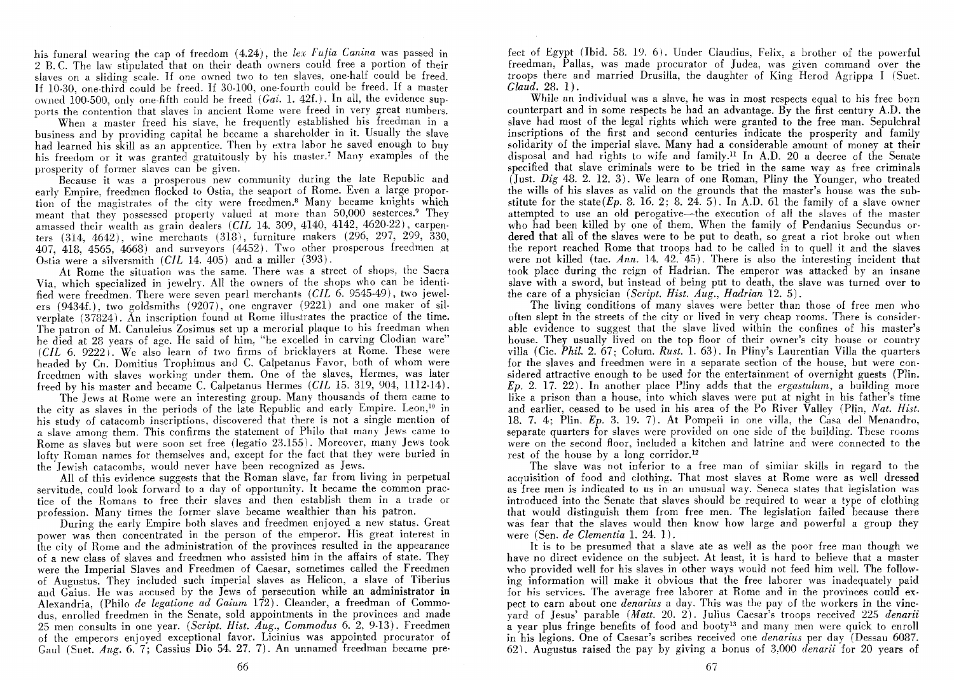his funeral wearing the cap of freedom (4.24), the *lex Fufia Canina* was passed in 2 B.C. The law stipulated that on their death owners could free a portion of their slaves on a sliding scale. If one owned two to ten slaves, one-half could be freed. If 10-30, one-third could be freed. If 30-100, one-fourth could be freed. If a master owned 100-500, only one-fifth could be freed *(Gai. 1. 42f.)*. In all, the evidence sunports the contention that slaves in ancient Rome were freed in very great numbers.

When a master freed his slave, he frequently established his freedman in a business and by providing capital he became a shareholder in it. Usually the slave had learned his skill as an apprentice. Then by extra labor he saved enough to buy his freedom or it was granted gratuitously by his master.<sup>7</sup> Many examples of the prosperity of former slaves can be given.

Because it was a prosperous new community during the late Republic and early Empire, freedmen flocked to Ostia, the seaport of Rome. Even a large proportion of the magistrates of the city were freedmen.<sup>8</sup> Many became knights which meant that they possessed property valued at more than 50,000 sesterces.<sup>9</sup> They amassed their wealth as grain dealers *(ClL* 14. 309, 4140, 4142, 4620·22), carpen· ters  $(314, 4642)$ , wine merchants  $(318)$ , furniture makers  $(296, 297, 299, 330,$ 407, 418, 4565, 4668) and surveyors (4452). Two other prosperous freedmen at Ostia were a silversmith *(ClL* 14. 405) and a miller (393).

At Rome the situation was the same. There was a street of shops, the Sacra Via, which specialized in jewelry. All the owners of the shops who can be identified were freedmen. There were seven pearl merchants (CIL 6. 9545-49), two jewelers (9434£.), two goldsmiths (9207), one engraver (9221) and one maker of silverplate (37824). An inscription found at Rome illustrates the practice of the time. The patron of M. Canuleius Zosimus set up a merorial plaque to his freedman when he died at 28 years of age. He said of him, "he excelled in carving Clodian ware"  $(CHL 6, 9222)$ . We also learn of two firms of bricklayers at Rome. These were headed by Cn. Domitius Trophimus and C. Calpetanus Favor, both of whom were freedmen with slaves working under them. One of the slaves, Hermes, was later freed by his master and beeame C. Calpetanus Hermes *(ClL* 15. 319, 904, 1112.14).

The Jews at Rome were an interesting group. Many thousands of them eame to the city as slaves in the periods of the late Republic and early Empire. Leon,<sup>10</sup> in his study of catacomb inscriptions, discovered that there is not a single mention of a slave among them. This confirms the statement of Philo that many Jews came to Rome as slaves but were soon set free (legatio 23.155). Moreover, many Jews took lofty Roman names for themselves and, except for the fact that they were buried in the Jewish catacombs, would never have been recognized as Jews.

All of this evidence suggests that the Roman slave, far from living in perpetual servitude, could look forward to a day of opportunity. It became the common practice of the Romans to free their slaves and then establish them in a trade or profession. Many times the former slave became wealthier than his patron.

During the early Empire both slaves and freedmen enjoyed a new status. Great power was then concentrated in the person of the emperor. His great interest in the city of Rome and the administration of the provinces resulted in the appearance of a new class of slaves and freedmen who assisted him in the affairs of state. They were the Imperial Slaves and Freedmen of Caesar, sometimes called the Freedmen of Augustus. They included such imperial slaves as Helicon, a slave of Tiberius and Gaius. He was accused by the Jews of persecution while an administrator in Alexandria, (Philo *de legatione ad Gaium* 172). Cleander, a freedman of Commodus, enrolled freedmen in the Senate, sold appointments in the provinces and made 25 men consults in one year. *(Script. Hist. Aug., Commodus* 6. 2, 9-13). Freedmen of the emperors enjoyed exceptional favor. Licinius was appointed procurator of Gaul (Suet. *Aug.* 6. 7; Cassius Dio 54. 27. 7). An unnamed freedman became prefect of Egypt (Ibid. 58. 19. 6). Under Claudius, Felix, a brother of the powerful freedman, Pallas, was made procurator of Judea, was given command over the troops there and married Drusilla, the daughter of King Herod Agrippa I (Suet. *Glaud.* 28. 1).

While an individual was a slave, he was in most respects equal to his free born counterpart and in some respects he had an advantage. By the first century A.D. the slave had most of the legal rights which were granted to the free man. Sepulchral inscriptions of the first and second centuries indicate the prosperity and family solidarity of the imperial slave. Many had a considerable amount of money at their disposal and had rights to wife and family.ll In A.D. 20 a decree of the Senate specified that slave criminals were to be tried in the same way as free criminals (Just. *Dig* 48.2. 12. 3). We learn of one Roman, Pliny the Younger, who treated the wills of his slaves as valid on the grounds that the master's house was the substitute for the state  $(E_p, 8, 16, 2; 8, 24, 5)$ . In A.D. 61 the family of a slave owner attempted to use an old perogative--the execution of all the slaves of the master who had been killed by one of them. When the family of Pendanius Secundus ordered that all of the slaves were to be put to death, so great a riot broke out when the report reached Rome that troops had to he called in to quell it and the slaves were not killed (tac. *Ann.* 14. 42. 45). There is also the interesting incident that took place during the reign of Hadrian. The emperor was attacked by an insane slave with a sword, but instead of being put to death, the slave was turned over to the care of a physician *(Script. Hist. Aug., Hadrian* 12. 5).

The living conditions of many slaves were better than those of free men who often slept in the streets of the city or lived in very cheap rooms. There is considerable evidence to suggest that the slave lived within the confines of his master's house. They usually lived on the top floor of their owner's city house or country villa (Cic. *Phil.* 2. 67; Colum. *Rust.* 1. 63). In Pliny's Laurentian Villa the quarters for the slaves and freedmen were in a separate section of the house, but were considered attractive enough to be used for the entertainment of overnight guests (Plin. *Ep.* 2. 17. 22). In another place Pliny adds that the *ergastulum,* a building more like a prison than a house, into which slaves were put at night in his father's time and earlier, ceased to be used in his area of the Po River Valley (Plin, *Nat. Hist.*  18. 7. 4; Plin. *Ep.* 3. 19. 7). At Pompeii in one villa, the Casa del Menandro, separate quarters for slaves were provided on one side of the building. These rooms were on the second floor, included a kitchen and latrine and were connected to the rest of the house by a long corridor.12

The slave was not inferior to a free man of similar skills in regard to the acquisition of food and clothing. That most slaves at Rome were as well dressed as free men is indicated to us in an unusual way. Seneca states that legislation was introduced into the Senate that slaves should be required to wear a type of clothing that would distinguish them from free men. The legislation failed because there was fear that the slaves would then know how large and powerful a group they were (Sen. *de Clementia* 1. 24. 1).

It is to be presumed that a slave ate as well as the poor free man though we have no direct evidence on the subject. At least, it is hard to believe that a master who provided well for his slaves in other ways would not feed him well. The following information will make it obvious that the free laborer was inadequately paid for his services. The average free laborer at Rome and in the provinces could expect to earn about one *denarius* a day. This was the pay of the workers in the vineyard of Jesus' parable *(Matt.* 20. 2). Julius Caesar's troops received 225 *denarii*  $\alpha$  year plus fringe benefits of food and booty<sup>13</sup> and many men were quick to enroll in his legions. One of Caesar's scribes received one *denarius* per day (Dessau 6087. 62). Augustus raised the pay by giving a bonus of 3,000 *denarii* for 20 years of